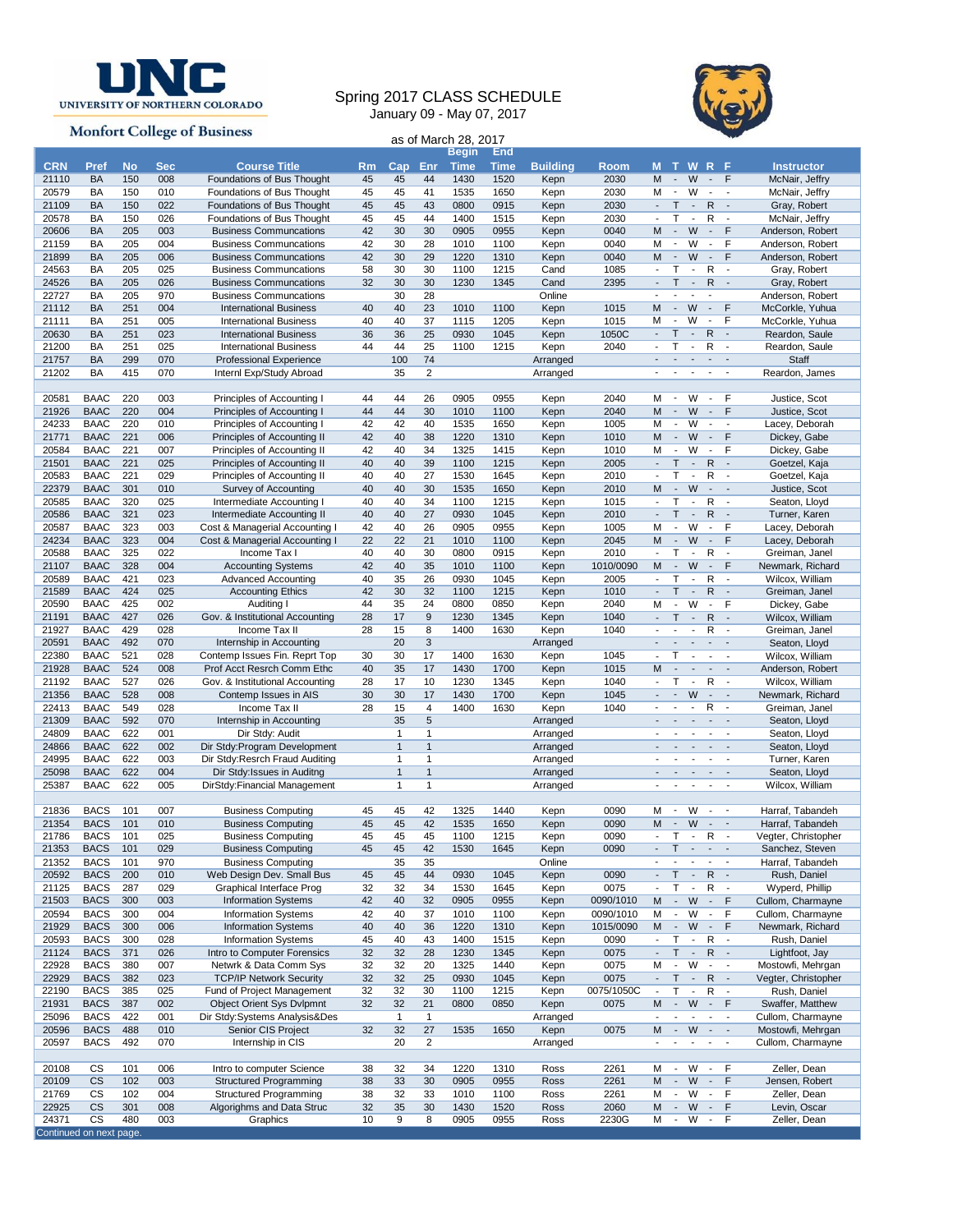

## Spring 2017 CLASS SCHEDULE January 09 - May 07, 2017



|                                  |                            |            |            | <b>Monfort College of Business</b>                             |           |                |                         |                               |              |                  |                   |                               |                                                      |                                                      |                                                      |                                                      |                                        |
|----------------------------------|----------------------------|------------|------------|----------------------------------------------------------------|-----------|----------------|-------------------------|-------------------------------|--------------|------------------|-------------------|-------------------------------|------------------------------------------------------|------------------------------------------------------|------------------------------------------------------|------------------------------------------------------|----------------------------------------|
|                                  |                            |            |            |                                                                |           |                |                         | as of March 28, 2017<br>Begin | End          |                  |                   |                               |                                                      |                                                      |                                                      |                                                      |                                        |
| <b>CRN</b>                       | <b>Pref</b>                | <b>No</b>  | <b>Sec</b> | <b>Course Title</b>                                            | <b>Rm</b> | $\mathsf{Cap}$ | Enr                     | <b>Time</b>                   | <b>Time</b>  | <b>Building</b>  | <b>Room</b>       | M                             | $\mathbf{T}$                                         | <b>WRF</b>                                           |                                                      |                                                      | <b>Instructor</b>                      |
| 21110                            | <b>BA</b>                  | 150        | 008        | Foundations of Bus Thought                                     | 45        | 45             | 44                      | 1430                          | 1520         | Kepn             | 2030              | M                             | $\sim$                                               | W                                                    |                                                      | $-$ F                                                | McNair, Jeffry                         |
| 20579                            | BA                         | 150        | 010        | Foundations of Bus Thought                                     | 45        | 45             | 41                      | 1535                          | 1650         | Kepn             | 2030              | м                             | $\overline{\phantom{a}}$                             | W                                                    | $\overline{\phantom{a}}$                             | $\overline{\phantom{a}}$                             | McNair, Jeffry                         |
| 21109                            | <b>BA</b>                  | 150        | 022        | Foundations of Bus Thought                                     | 45        | 45             | 43                      | 0800                          | 0915         | Kepn             | 2030              | ÷.                            | $\mathsf{T}$                                         | $\mathbb{Z}^2$                                       | R                                                    | $\sim$                                               | Gray, Robert                           |
| 20578                            | BA                         | 150        | 026        | Foundations of Bus Thought                                     | 45        | 45             | 44                      | 1400                          | 1515         | Kepn             | 2030              | $\overline{\phantom{a}}$      | Т                                                    | $\overline{\phantom{a}}$                             | R                                                    | $\overline{\phantom{a}}$                             | McNair, Jeffry                         |
| 20606                            | BA                         | 205        | 003        | <b>Business Communcations</b>                                  | 42        | 30             | 30                      | 0905                          | 0955         | Kepn             | 0040              | M                             | $\blacksquare$                                       | W                                                    | $\overline{\phantom{a}}$                             | F                                                    | Anderson, Robert                       |
| 21159                            | BA<br><b>BA</b>            | 205<br>205 | 004        | <b>Business Communcations</b>                                  | 42        | 30<br>30       | 28<br>29                | 1010<br>1220                  | 1100<br>1310 | Kepn             | 0040<br>0040      | M<br>M                        | $\blacksquare$<br>$\overline{\phantom{a}}$           | W<br>W                                               | $\overline{\phantom{a}}$<br>$\overline{\phantom{a}}$ | F<br>F                                               | Anderson, Robert                       |
| 21899<br>24563                   | BA                         | 205        | 006<br>025 | <b>Business Communcations</b><br><b>Business Communcations</b> | 42<br>58  | 30             | 30                      | 1100                          | 1215         | Kepn<br>Cand     | 1085              | $\overline{\phantom{a}}$      | T                                                    | $\overline{\phantom{a}}$                             | R                                                    | $\overline{\phantom{a}}$                             | Anderson, Robert<br>Gray, Robert       |
| 24526                            | <b>BA</b>                  | 205        | 026        | <b>Business Communcations</b>                                  | 32        | 30             | 30                      | 1230                          | 1345         | Cand             | 2395              | $\overline{\phantom{a}}$      | $\mathsf{T}$                                         | $\blacksquare$                                       | R                                                    | $\sim$                                               | Gray, Robert                           |
| 22727                            | BA                         | 205        | 970        | <b>Business Communcations</b>                                  |           | 30             | 28                      |                               |              | Online           |                   | $\blacksquare$                |                                                      | $\blacksquare$                                       |                                                      |                                                      | Anderson, Robert                       |
| 21112                            | <b>BA</b>                  | 251        | 004        | <b>International Business</b>                                  | 40        | 40             | 23                      | 1010                          | 1100         | Kepn             | 1015              | M                             | $\blacksquare$                                       | W                                                    | $\blacksquare$                                       | F                                                    | McCorkle, Yuhua                        |
| 21111                            | BA                         | 251        | 005        | <b>International Business</b>                                  | 40        | 40             | 37                      | 1115                          | 1205         | Kepn             | 1015              | M                             | $\overline{\phantom{a}}$                             | W                                                    | $\overline{\phantom{a}}$                             | F                                                    | McCorkle, Yuhua                        |
| 20630                            | <b>BA</b>                  | 251        | 023        | <b>International Business</b>                                  | 36        | 36             | 25                      | 0930                          | 1045         | Kepn             | 1050C             | $\frac{1}{2}$                 | $\mathsf{T}$                                         | $\blacksquare$                                       | R                                                    | $\overline{\phantom{a}}$                             | Reardon, Saule                         |
| 21200                            | BA                         | 251        | 025        | <b>International Business</b>                                  | 44        | 44             | 25                      | 1100                          | 1215         | Kepn             | 2040              | ٠                             | T                                                    | $\overline{\phantom{a}}$                             | R<br>$\mathbf{r}$                                    | $\sim$                                               | Reardon, Saule                         |
| 21757<br>21202                   | <b>BA</b><br>BA            | 299<br>415 | 070<br>070 | Professional Experience                                        |           | 100<br>35      | 74<br>$\overline{2}$    |                               |              | Arranged         |                   |                               | $\blacksquare$                                       | $\overline{\phantom{a}}$<br>$\overline{\phantom{a}}$ | $\overline{\phantom{a}}$                             | $\overline{\phantom{a}}$<br>$\overline{\phantom{a}}$ | Staff                                  |
|                                  |                            |            |            | Internl Exp/Study Abroad                                       |           |                |                         |                               |              | Arranged         |                   |                               |                                                      |                                                      |                                                      |                                                      | Reardon, James                         |
| 20581                            | <b>BAAC</b>                | 220        | 003        | Principles of Accounting I                                     | 44        | 44             | 26                      | 0905                          | 0955         | Kepn             | 2040              | м                             | $\sim$                                               | W                                                    | $\sim$                                               | F                                                    | Justice, Scot                          |
| 21926                            | <b>BAAC</b>                | 220        | 004        | Principles of Accounting I                                     | 44        | 44             | 30                      | 1010                          | 1100         | Kepn             | 2040              | M                             | $\sim$                                               | W                                                    | $\blacksquare$                                       | F                                                    | Justice, Scot                          |
| 24233                            | <b>BAAC</b>                | 220        | 010        | Principles of Accounting I                                     | 42        | 42             | 40                      | 1535                          | 1650         | Kepn             | 1005              | M                             | $\overline{\phantom{a}}$                             | W                                                    | $\overline{\phantom{a}}$                             | $\overline{\phantom{a}}$                             | Lacey, Deborah                         |
| 21771                            | <b>BAAC</b>                | 221        | 006        | Principles of Accounting II                                    | 42        | 40             | 38                      | 1220                          | 1310         | Kepn             | 1010              | M                             | $\sim$                                               | W                                                    | $\overline{\phantom{a}}$                             | F                                                    | Dickey, Gabe                           |
| 20584                            | <b>BAAC</b>                | 221        | 007        | Principles of Accounting II                                    | 42        | 40             | 34                      | 1325                          | 1415         | Kepn             | 1010              | M                             | $\overline{\phantom{a}}$                             | W                                                    | $\overline{\phantom{a}}$                             | F                                                    | Dickey, Gabe                           |
| 21501                            | <b>BAAC</b>                | 221        | 025        | Principles of Accounting II                                    | 40        | 40             | 39                      | 1100                          | 1215         | Kepn             | 2005              | $\overline{a}$                | T<br>Т                                               | $\blacksquare$                                       | R                                                    | $\sim$                                               | Goetzel, Kaja                          |
| 20583<br>22379                   | <b>BAAC</b><br><b>BAAC</b> | 221<br>301 | 029<br>010 | Principles of Accounting II<br>Survey of Accounting            | 40<br>40  | 40<br>40       | 27<br>30                | 1530<br>1535                  | 1645<br>1650 | Kepn<br>Kepn     | 2010<br>2010      | $\overline{\phantom{a}}$<br>M | $\overline{\phantom{a}}$                             | $\overline{\phantom{a}}$<br>W                        | R<br>$\sim$                                          | $\sim$<br>$\sim$                                     | Goetzel, Kaja<br>Justice, Scot         |
| 20585                            | <b>BAAC</b>                | 320        | 025        | Intermediate Accounting I                                      | 40        | 40             | 34                      | 1100                          | 1215         | Kepn             | 1015              |                               | т                                                    | $\overline{a}$                                       | R                                                    | $\overline{\phantom{a}}$                             | Seaton, Lloyd                          |
| 20586                            | <b>BAAC</b>                | 321        | 023        | Intermediate Accounting II                                     | 40        | 40             | 27                      | 0930                          | 1045         | Kepn             | 2010              | ÷.                            | T                                                    | $\overline{\phantom{a}}$                             | R                                                    | $\sim$                                               | Turner, Karen                          |
| 20587                            | <b>BAAC</b>                | 323        | 003        | Cost & Managerial Accounting I                                 | 42        | 40             | 26                      | 0905                          | 0955         | Kepn             | 1005              | м                             | $\overline{\phantom{a}}$                             | W                                                    | $\blacksquare$                                       | F                                                    | Lacey, Deborah                         |
| 24234                            | <b>BAAC</b>                | 323        | 004        | Cost & Managerial Accounting I                                 | 22        | 22             | 21                      | 1010                          | 1100         | Kepn             | 2045              | M                             | $\blacksquare$                                       | W                                                    | $\overline{\phantom{a}}$                             | F                                                    | Lacey, Deborah                         |
| 20588                            | <b>BAAC</b>                | 325        | 022        | Income Tax I                                                   | 40        | 40             | 30                      | 0800                          | 0915         | Kepn             | 2010              | $\overline{\phantom{a}}$      | т                                                    | $\sim$                                               | R                                                    | $\overline{\phantom{a}}$                             | Greiman, Janel                         |
| 21107                            | <b>BAAC</b>                | 328        | 004        | <b>Accounting Systems</b>                                      | 42        | 40             | 35                      | 1010                          | 1100         | Kepn             | 1010/0090         | M                             | $\mathbf{r}$                                         | W                                                    | $\overline{\phantom{a}}$                             | F                                                    | Newmark, Richard                       |
| 20589                            | <b>BAAC</b>                | 421        | 023        | <b>Advanced Accounting</b>                                     | 40        | 35             | 26                      | 0930                          | 1045         | Kepn             | 2005              |                               | Т                                                    | $\sim$                                               | R                                                    | $\overline{\phantom{a}}$                             | Wilcox, William                        |
| 21589<br>20590                   | <b>BAAC</b><br><b>BAAC</b> | 424<br>425 | 025<br>002 | <b>Accounting Ethics</b><br>Auditing I                         | 42<br>44  | 30<br>35       | 32<br>$\overline{24}$   | 1100<br>0800                  | 1215<br>0850 | Kepn<br>Kepn     | 1010<br>2040      | $\overline{\phantom{a}}$<br>M | $\mathsf{T}$<br>$\blacksquare$                       | $\overline{\phantom{a}}$<br>W                        | R<br>$\overline{\phantom{a}}$                        | $\sim$<br>F                                          | Greiman, Janel<br>Dickey, Gabe         |
| 21191                            | <b>BAAC</b>                | 427        | 026        | Gov. & Institutional Accounting                                | 28        | 17             | 9                       | 1230                          | 1345         | Kepn             | 1040              | $\overline{\phantom{a}}$      | $\mathsf{T}$                                         | $\sim$                                               | R                                                    | $\sim$                                               | Wilcox, William                        |
| 21927                            | <b>BAAC</b>                | 429        | 028        | Income Tax II                                                  | 28        | 15             | 8                       | 1400                          | 1630         | Kepn             | 1040              |                               |                                                      | $\blacksquare$                                       | R                                                    | $\sim$                                               | Greiman, Janel                         |
| 20591                            | <b>BAAC</b>                | 492        | 070        | Internship in Accounting                                       |           | 20             | 3                       |                               |              | Arranged         |                   |                               | $\blacksquare$                                       | $\sim$                                               | $\blacksquare$                                       | $\overline{\phantom{a}}$                             | Seaton, Lloyd                          |
| 22380                            | <b>BAAC</b>                | 521        | 028        | Contemp Issues Fin. Reprt Top                                  | 30        | 30             | 17                      | 1400                          | 1630         | Kepn             | 1045              | $\overline{\phantom{a}}$      | Т                                                    | $\blacksquare$                                       | $\sim$                                               | $\sim$                                               | Wilcox, William                        |
| 21928                            | <b>BAAC</b>                | 524        | 008        | Prof Acct Resrch Comm Ethc                                     | 40        | 35             | 17                      | 1430                          | 1700         | Kepn             | 1015              | M                             | $\sim$                                               | $\overline{\phantom{a}}$                             | $\overline{\phantom{a}}$                             | $\sim$                                               | Anderson, Robert                       |
| 21192                            | <b>BAAC</b>                | 527        | 026        | Gov. & Institutional Accounting                                | 28        | 17             | 10                      | 1230                          | 1345         | Kepn             | 1040              | $\overline{\phantom{a}}$      | Т<br>$\blacksquare$                                  | $\blacksquare$<br>W                                  | R                                                    | $\overline{\phantom{a}}$                             | Wilcox, William                        |
| 21356<br>22413                   | <b>BAAC</b><br><b>BAAC</b> | 528<br>549 | 008<br>028 | Contemp Issues in AIS<br>Income Tax II                         | 30<br>28  | 30<br>15       | 17<br>4                 | 1430<br>1400                  | 1700<br>1630 | Kepn<br>Kepn     | 1045<br>1040      | $\overline{\phantom{a}}$      | $\overline{\phantom{a}}$                             | $\overline{\phantom{a}}$                             | $\overline{\phantom{a}}$<br>R                        | $\sim$<br>$\overline{\phantom{a}}$                   | Newmark, Richard<br>Greiman, Janel     |
| 21309                            | <b>BAAC</b>                | 592        | 070        | Internship in Accounting                                       |           | 35             | 5                       |                               |              | Arranged         |                   |                               |                                                      | $\overline{\phantom{a}}$                             | $\blacksquare$                                       | $\sim$                                               | Seaton, Lloyd                          |
| 24809                            | <b>BAAC</b>                | 622        | 001        | Dir Stdy: Audit                                                |           | $\mathbf{1}$   | 1                       |                               |              | Arranged         |                   |                               |                                                      |                                                      | $\overline{\phantom{a}}$                             | $\overline{\phantom{a}}$                             | Seaton, Lloyd                          |
| 24866                            | <b>BAAC</b>                | 622        | 002        | Dir Stdy: Program Development                                  |           | $\mathbf{1}$   | $\mathbf{1}$            |                               |              | Arranged         |                   |                               |                                                      |                                                      |                                                      |                                                      | Seaton, Lloyd                          |
| 24995                            | <b>BAAC</b>                | 622        | 003        | Dir Stdy: Resrch Fraud Auditing                                |           | 1              | 1                       |                               |              | Arranged         |                   |                               |                                                      |                                                      | $\sim$                                               | $\overline{\phantom{a}}$                             | Turner, Karen                          |
| 25098                            | <b>BAAC</b>                | 622        | 004        | Dir Stdy: Issues in Auditng                                    |           | $\mathbf{1}$   | 1                       |                               |              | Arranged         |                   |                               |                                                      |                                                      |                                                      |                                                      | Seaton, Lloyd                          |
| 25387                            | <b>BAAC</b>                | 622        | 005        | DirStdy: Financial Management                                  |           | $\mathbf{1}$   | 1                       |                               |              | Arranged         |                   |                               |                                                      |                                                      |                                                      |                                                      | Wilcox, William                        |
| 21836                            | <b>BACS</b>                | 101        | 007        | <b>Business Computing</b>                                      | 45        | 45             | 42                      | 1325                          | 1440         | Kepn             | 0090              | М                             | $\overline{\phantom{a}}$                             | W                                                    | $\overline{\phantom{a}}$                             | $\overline{\phantom{a}}$                             | Harraf, Tabandeh                       |
| 21354                            | <b>BACS</b>                | 101        | 010        | <b>Business Computing</b>                                      | 45        | 45             | 42                      | 1535                          | 1650         | Kepn             | 0090              | M                             | $\overline{\phantom{a}}$                             | W                                                    | $\sim$                                               | $\overline{\phantom{a}}$                             | Harraf, Tabandeh                       |
| 21786                            | <b>BACS</b>                | 101        | 025        | <b>Business Computing</b>                                      | 45        | 45             | 45                      | 1100                          | 1215         | Kepn             | 0090              | $\overline{a}$                | Τ                                                    | $\overline{\phantom{a}}$                             | R                                                    | $\overline{\phantom{a}}$                             | Vegter, Christopher                    |
| 21353                            | <b>BACS</b>                | 101        | 029        | <b>Business Computing</b>                                      | 45        | 45             | 42                      | 1530                          | 1645         | Kepn             | 0090              | $\overline{\phantom{a}}$      | т                                                    | $\overline{\phantom{a}}$                             | $\mathbf{r}$                                         | $\sim$                                               | Sanchez, Steven                        |
| 21352                            | <b>BACS</b>                | 101        | 970        | <b>Business Computing</b>                                      |           | 35             | 35                      |                               |              | Online           |                   | ٠                             | $\overline{a}$                                       | $\overline{a}$                                       | $\overline{\phantom{a}}$                             | $\blacksquare$                                       | Harraf, Tabandeh                       |
| 20592                            | <b>BACS</b>                | 200        | 010        | Web Design Dev. Small Bus                                      | 45        | 45             | 44                      | 0930                          | 1045         | Kepn             | 0090              | $\blacksquare$                | Τ                                                    | $\overline{\phantom{a}}$                             | R                                                    | $\blacksquare$                                       | Rush, Daniel                           |
| 21125                            | <b>BACS</b>                | 287        | 029<br>003 | Graphical Interface Prog                                       | 32        | 32<br>40       | 34<br>32                | 1530                          | 1645         | Kepn             | 0075<br>0090/1010 | $\blacksquare$                | $\mathsf{T}$                                         | $\overline{\phantom{a}}$                             | R                                                    | $\overline{\phantom{a}}$                             | Wyperd, Phillip                        |
| 21503<br>20594                   | <b>BACS</b><br><b>BACS</b> | 300<br>300 | 004        | <b>Information Systems</b><br><b>Information Systems</b>       | 42<br>42  | 40             | 37                      | 0905<br>1010                  | 0955<br>1100 | Kepn<br>Kepn     | 0090/1010         | M<br>M                        | $\overline{\phantom{a}}$<br>$\overline{\phantom{a}}$ | W<br>W                                               | $\blacksquare$<br>$\overline{\phantom{a}}$           | $\mathsf{F}$<br>F                                    | Cullom, Charmayne<br>Cullom, Charmayne |
| 21929                            | <b>BACS</b>                | 300        | 006        | <b>Information Systems</b>                                     | 40        | 40             | 36                      | 1220                          | 1310         | Kepn             | 1015/0090         | М                             | $\mathcal{L}_{\mathcal{C}}$                          | W                                                    | $\blacksquare$                                       | F                                                    | Newmark, Richard                       |
| 20593                            | <b>BACS</b>                | 300        | 028        | <b>Information Systems</b>                                     | 45        | 40             | 43                      | 1400                          | 1515         | Kepn             | 0090              | $\centerdot$                  | $\mathsf{T}$                                         | $\overline{\phantom{a}}$                             | R                                                    | $\overline{\phantom{a}}$                             | Rush, Daniel                           |
| 21124                            | <b>BACS</b>                | 371        | 026        | Intro to Computer Forensics                                    | 32        | 32             | 28                      | 1230                          | 1345         | Kepn             | 0075              | $\blacksquare$                | $\mathsf{T}$                                         | $\overline{\phantom{a}}$                             | R                                                    | $\sim$                                               | Lightfoot, Jay                         |
| 22928                            | <b>BACS</b>                | 380        | 007        | Netwrk & Data Comm Sys                                         | 32        | 32             | 20                      | 1325                          | 1440         | Kepn             | 0075              | M                             | $\overline{\phantom{a}}$                             | W                                                    | $\overline{\phantom{a}}$                             | $\sim$                                               | Mostowfi, Mehrgan                      |
| 22929                            | <b>BACS</b>                | 382        | 023        | <b>TCP/IP Network Security</b>                                 | 32        | 32             | 25                      | 0930                          | 1045         | Kepn             | 0075              | $\overline{\phantom{a}}$      | T                                                    | $\overline{\phantom{a}}$                             | R                                                    | $\overline{\phantom{a}}$                             | Vegter, Christopher                    |
| 22190                            | <b>BACS</b>                | 385        | 025        | Fund of Project Management                                     | 32        | 32             | 30                      | 1100                          | 1215         | Kepn             | 0075/1050C        | $\centerdot$                  | T                                                    | $\overline{\phantom{a}}$                             | R                                                    | $\overline{\phantom{a}}$                             | Rush, Daniel                           |
| 21931                            | <b>BACS</b>                | 387        | 002        | <b>Object Orient Sys Dvlpmnt</b>                               | 32        | 32             | 21                      | 0800                          | 0850         | Kepn             | 0075              | M<br>÷,                       | $\mathbb{Z}^2$<br>$\overline{\phantom{a}}$           | W                                                    |                                                      | $-$ F                                                | Swaffer, Matthew                       |
| 25096<br>20596                   | <b>BACS</b><br><b>BACS</b> | 422<br>488 | 001<br>010 | Dir Stdy: Systems Analysis& Des<br>Senior CIS Project          | 32        | 1<br>32        | $\mathbf{1}$<br>27      | 1535                          | 1650         | Arranged<br>Kepn | 0075              |                               | M -                                                  | $\overline{\phantom{a}}$<br>W                        | $\overline{\phantom{a}}$                             | $\overline{\phantom{a}}$<br>$\omega_{\rm{max}}$      | Cullom, Charmayne<br>Mostowfi, Mehrgan |
| 20597                            | <b>BACS</b>                | 492        | 070        | Internship in CIS                                              |           | 20             | $\overline{\mathbf{c}}$ |                               |              | Arranged         |                   |                               | $\overline{\phantom{a}}$                             |                                                      | $\overline{\phantom{a}}$                             |                                                      | Cullom, Charmayne                      |
|                                  |                            |            |            |                                                                |           |                |                         |                               |              |                  |                   |                               |                                                      |                                                      |                                                      |                                                      |                                        |
| 20108                            | CS                         | 101        | 006        | Intro to computer Science                                      | 38        | 32             | 34                      | 1220                          | 1310         | Ross             | 2261              | М                             | $\blacksquare$                                       | W                                                    | $\overline{\phantom{a}}$                             | F                                                    | Zeller, Dean                           |
| 20109                            | <b>CS</b>                  | 102        | 003        | <b>Structured Programming</b>                                  | 38        | 33             | 30                      | 0905                          | 0955         | Ross             | 2261              | M                             | $\overline{\phantom{a}}$                             | W                                                    | $\overline{\phantom{a}}$                             | F                                                    | Jensen, Robert                         |
| 21769                            | CS                         | 102        | 004        | <b>Structured Programming</b>                                  | 38        | 32             | 33                      | 1010                          | 1100         | Ross             | 2261              | M                             | $\overline{\phantom{a}}$                             | W                                                    | $\overline{\phantom{a}}$                             | F                                                    | Zeller, Dean                           |
| 22925                            | <b>CS</b>                  | 301        | 008        | Algorighms and Data Struc                                      | 32        | 35             | 30                      | 1430                          | 1520         | Ross             | 2060              | M                             | $\sim$<br>$\sim$                                     | W<br>W                                               | $\overline{\phantom{a}}$                             | F<br>F                                               | Levin, Oscar                           |
| 24371<br>Continued on next page. | CS                         | 480        | 003        | Graphics                                                       | 10        | 9              | 8                       | 0905                          | 0955         | Ross             | 2230G             | М                             |                                                      |                                                      | $\blacksquare$                                       |                                                      | Zeller, Dean                           |
|                                  |                            |            |            |                                                                |           |                |                         |                               |              |                  |                   |                               |                                                      |                                                      |                                                      |                                                      |                                        |